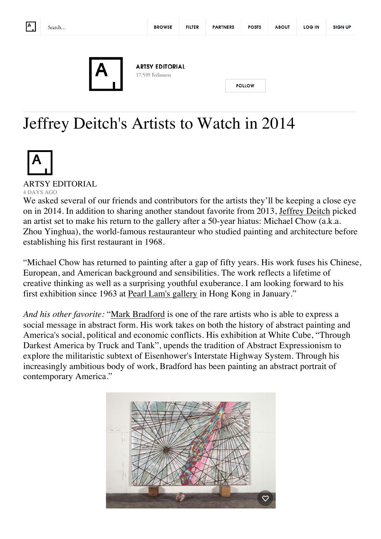

**FILTER** 

**ABOUT** 



**ARTSY EDITORIAL** 17,599 Followers

## Jeffrey Deitch's Artists to Watch in 2014



## ARTSY EDITORIAL 4 DAYS AGO

We asked several of our friends and contributors for the artists they'll be keeping a close eye on in 2014. In addition to sharing another standout favorite from 2013, Jeffrey Deitch picked an artist set to make his return to the gallery after a 50-year hiatus: Michael Chow (a.k.a. Zhou Yinghua), the world-famous restauranteur who studied painting and architecture before establishing his first restaurant in 1968.

"Michael Chow has returned to painting after a gap of fifty years. His work fuses his Chinese, European, and American background and sensibilities. The work reflects a lifetime of creative thinking as well as a surprising youthful exuberance. I am looking forward to his first exhibition since 1963 at Pearl Lam's gallery in Hong Kong in January."

*And his other favorite:* "Mark Bradford is one of the rare artists who is able to express a social message in abstract form. His work takes on both the history of abstract painting and America's social, political and economic conflicts. His exhibition at White Cube, "Through Darkest America by Truck and Tank", upends the tradition of Abstract Expressionism to explore the militaristic subtext of Eisenhower's Interstate Highway System. Through his increasingly ambitious body of work, Bradford has been painting an abstract portrait of contemporary America."